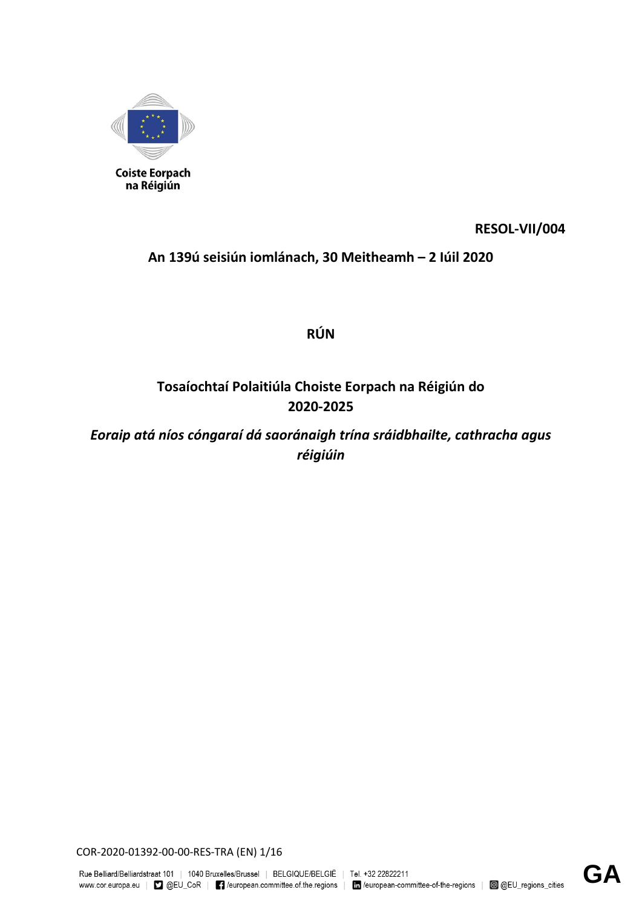

**RESOL-VII/004**

**An 139ú seisiún iomlánach, 30 Meitheamh – 2 Iúil 2020**

**RÚN**

# **Tosaíochtaí Polaitiúla Choiste Eorpach na Réigiún do 2020-2025**

*Eoraip atá níos cóngaraí dá saoránaigh trína sráidbhailte, cathracha agus réigiúin*

COR-2020-01392-00-00-RES-TRA (EN) 1/16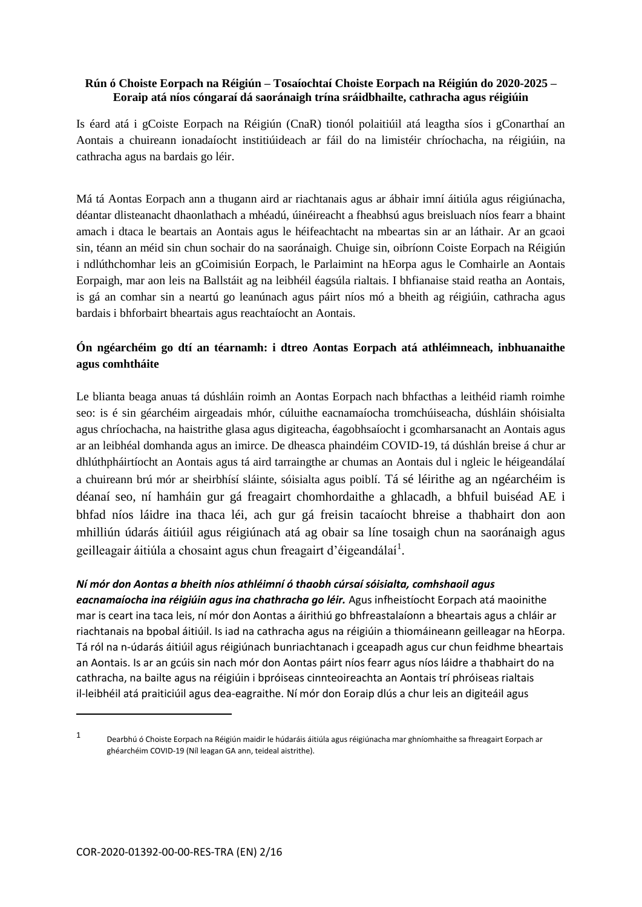#### **Rún ó Choiste Eorpach na Réigiún – Tosaíochtaí Choiste Eorpach na Réigiún do 2020-2025 – Eoraip atá níos cóngaraí dá saoránaigh trína sráidbhailte, cathracha agus réigiúin**

Is éard atá i gCoiste Eorpach na Réigiún (CnaR) tionól polaitiúil atá leagtha síos i gConarthaí an Aontais a chuireann ionadaíocht institiúideach ar fáil do na limistéir chríochacha, na réigiúin, na cathracha agus na bardais go léir.

Má tá Aontas Eorpach ann a thugann aird ar riachtanais agus ar ábhair imní áitiúla agus réigiúnacha, déantar dlisteanacht dhaonlathach a mhéadú, úinéireacht a fheabhsú agus breisluach níos fearr a bhaint amach i dtaca le beartais an Aontais agus le héifeachtacht na mbeartas sin ar an láthair. Ar an gcaoi sin, téann an méid sin chun sochair do na saoránaigh. Chuige sin, oibríonn Coiste Eorpach na Réigiún i ndlúthchomhar leis an gCoimisiún Eorpach, le Parlaimint na hEorpa agus le Comhairle an Aontais Eorpaigh, mar aon leis na Ballstáit ag na leibhéil éagsúla rialtais. I bhfianaise staid reatha an Aontais, is gá an comhar sin a neartú go leanúnach agus páirt níos mó a bheith ag réigiúin, cathracha agus bardais i bhforbairt bheartais agus reachtaíocht an Aontais.

# **Ón ngéarchéim go dtí an téarnamh: i dtreo Aontas Eorpach atá athléimneach, inbhuanaithe agus comhtháite**

Le blianta beaga anuas tá dúshláin roimh an Aontas Eorpach nach bhfacthas a leithéid riamh roimhe seo: is é sin géarchéim airgeadais mhór, cúluithe eacnamaíocha tromchúiseacha, dúshláin shóisialta agus chríochacha, na haistrithe glasa agus digiteacha, éagobhsaíocht i gcomharsanacht an Aontais agus ar an leibhéal domhanda agus an imirce. De dheasca phaindéim COVID-19, tá dúshlán breise á chur ar dhlúthpháirtíocht an Aontais agus tá aird tarraingthe ar chumas an Aontais dul i ngleic le héigeandálaí a chuireann brú mór ar sheirbhísí sláinte, sóisialta agus poiblí. Tá sé léirithe ag an ngéarchéim is déanaí seo, ní hamháin gur gá freagairt chomhordaithe a ghlacadh, a bhfuil buiséad AE i bhfad níos láidre ina thaca léi, ach gur gá freisin tacaíocht bhreise a thabhairt don aon mhilliún údarás áitiúil agus réigiúnach atá ag obair sa líne tosaigh chun na saoránaigh agus geilleagair áitiúla a chosaint agus chun freagairt d'éigeandálaí<sup>1</sup>.

#### *Ní mór don Aontas a bheith níos athléimní ó thaobh cúrsaí sóisialta, comhshaoil agus*

*eacnamaíocha ina réigiúin agus ina chathracha go léir.* Agus infheistíocht Eorpach atá maoinithe mar is ceart ina taca leis, ní mór don Aontas a áirithiú go bhfreastalaíonn a bheartais agus a chláir ar riachtanais na bpobal áitiúil. Is iad na cathracha agus na réigiúin a thiomáineann geilleagar na hEorpa. Tá ról na n-údarás áitiúil agus réigiúnach bunriachtanach i gceapadh agus cur chun feidhme bheartais an Aontais. Is ar an gcúis sin nach mór don Aontas páirt níos fearr agus níos láidre a thabhairt do na cathracha, na bailte agus na réigiúin i bpróiseas cinnteoireachta an Aontais trí phróiseas rialtais il-leibhéil atá praiticiúil agus dea-eagraithe. Ní mór don Eoraip dlús a chur leis an digiteáil agus

1

<sup>1</sup> Dearbhú ó Choiste Eorpach na Réigiún maidir le húdaráis áitiúla agus réigiúnacha mar ghníomhaithe sa fhreagairt Eorpach ar ghéarchéim COVID-19 (Níl leagan GA ann, teideal aistrithe).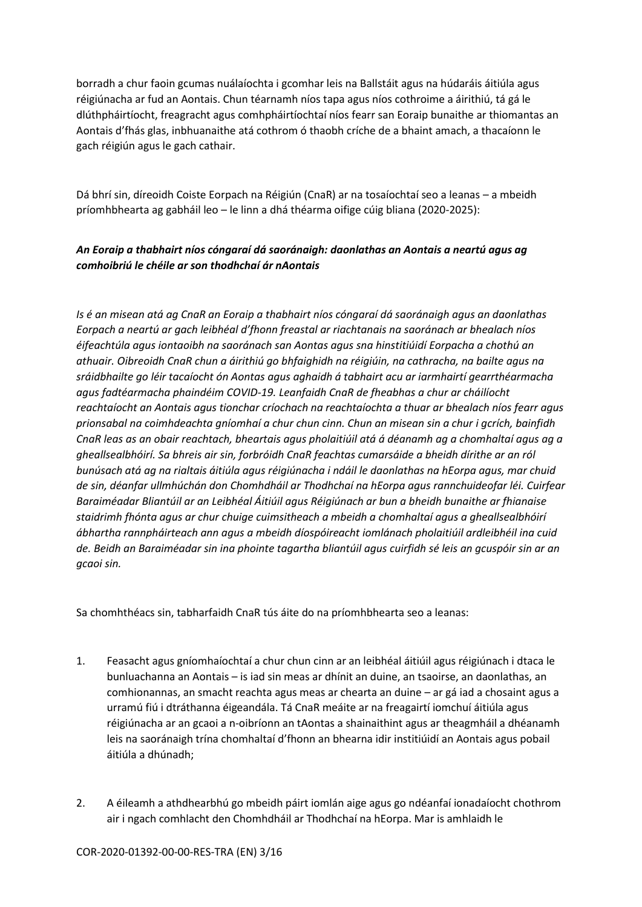borradh a chur faoin gcumas nuálaíochta i gcomhar leis na Ballstáit agus na húdaráis áitiúla agus réigiúnacha ar fud an Aontais. Chun téarnamh níos tapa agus níos cothroime a áirithiú, tá gá le dlúthpháirtíocht, freagracht agus comhpháirtíochtaí níos fearr san Eoraip bunaithe ar thiomantas an Aontais d'fhás glas, inbhuanaithe atá cothrom ó thaobh críche de a bhaint amach, a thacaíonn le gach réigiún agus le gach cathair.

Dá bhrí sin, díreoidh Coiste Eorpach na Réigiún (CnaR) ar na tosaíochtaí seo a leanas – a mbeidh príomhbhearta ag gabháil leo – le linn a dhá théarma oifige cúig bliana (2020-2025):

## *An Eoraip a thabhairt níos cóngaraí dá saoránaigh: daonlathas an Aontais a neartú agus ag comhoibriú le chéile ar son thodhchaí ár nAontais*

*Is é an misean atá ag CnaR an Eoraip a thabhairt níos cóngaraí dá saoránaigh agus an daonlathas Eorpach a neartú ar gach leibhéal d'fhonn freastal ar riachtanais na saoránach ar bhealach níos éifeachtúla agus iontaoibh na saoránach san Aontas agus sna hinstitiúidí Eorpacha a chothú an athuair. Oibreoidh CnaR chun a áirithiú go bhfaighidh na réigiúin, na cathracha, na bailte agus na sráidbhailte go léir tacaíocht ón Aontas agus aghaidh á tabhairt acu ar iarmhairtí gearrthéarmacha agus fadtéarmacha phaindéim COVID-19. Leanfaidh CnaR de fheabhas a chur ar cháilíocht reachtaíocht an Aontais agus tionchar críochach na reachtaíochta a thuar ar bhealach níos fearr agus prionsabal na coimhdeachta gníomhaí a chur chun cinn. Chun an misean sin a chur i gcrích, bainfidh CnaR leas as an obair reachtach, bheartais agus pholaitiúil atá á déanamh ag a chomhaltaí agus ag a gheallsealbhóirí. Sa bhreis air sin, forbróidh CnaR feachtas cumarsáide a bheidh dírithe ar an ról bunúsach atá ag na rialtais áitiúla agus réigiúnacha i ndáil le daonlathas na hEorpa agus, mar chuid de sin, déanfar ullmhúchán don Chomhdháil ar Thodhchaí na hEorpa agus rannchuideofar léi. Cuirfear Baraiméadar Bliantúil ar an Leibhéal Áitiúil agus Réigiúnach ar bun a bheidh bunaithe ar fhianaise staidrimh fhónta agus ar chur chuige cuimsitheach a mbeidh a chomhaltaí agus a gheallsealbhóirí ábhartha rannpháirteach ann agus a mbeidh díospóireacht iomlánach pholaitiúil ardleibhéil ina cuid de. Beidh an Baraiméadar sin ina phointe tagartha bliantúil agus cuirfidh sé leis an gcuspóir sin ar an gcaoi sin.* 

Sa chomhthéacs sin, tabharfaidh CnaR tús áite do na príomhbhearta seo a leanas:

- 1. Feasacht agus gníomhaíochtaí a chur chun cinn ar an leibhéal áitiúil agus réigiúnach i dtaca le bunluachanna an Aontais – is iad sin meas ar dhínit an duine, an tsaoirse, an daonlathas, an comhionannas, an smacht reachta agus meas ar chearta an duine – ar gá iad a chosaint agus a urramú fiú i dtráthanna éigeandála. Tá CnaR meáite ar na freagairtí iomchuí áitiúla agus réigiúnacha ar an gcaoi a n-oibríonn an tAontas a shainaithint agus ar theagmháil a dhéanamh leis na saoránaigh trína chomhaltaí d'fhonn an bhearna idir institiúidí an Aontais agus pobail áitiúla a dhúnadh;
- 2. A éileamh a athdhearbhú go mbeidh páirt iomlán aige agus go ndéanfaí ionadaíocht chothrom air i ngach comhlacht den Chomhdháil ar Thodhchaí na hEorpa. Mar is amhlaidh le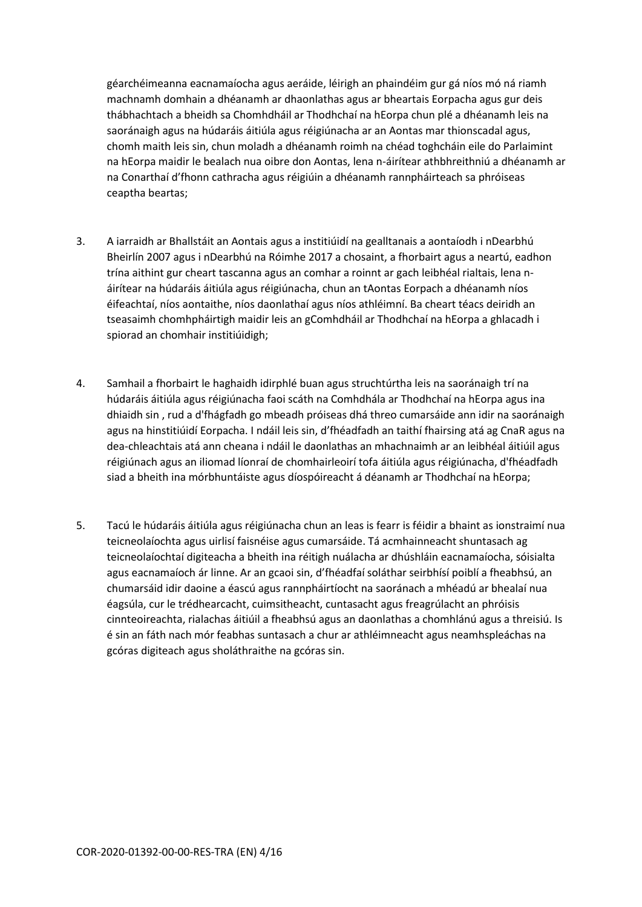géarchéimeanna eacnamaíocha agus aeráide, léirigh an phaindéim gur gá níos mó ná riamh machnamh domhain a dhéanamh ar dhaonlathas agus ar bheartais Eorpacha agus gur deis thábhachtach a bheidh sa Chomhdháil ar Thodhchaí na hEorpa chun plé a dhéanamh leis na saoránaigh agus na húdaráis áitiúla agus réigiúnacha ar an Aontas mar thionscadal agus, chomh maith leis sin, chun moladh a dhéanamh roimh na chéad toghcháin eile do Parlaimint na hEorpa maidir le bealach nua oibre don Aontas, lena n-áirítear athbhreithniú a dhéanamh ar na Conarthaí d'fhonn cathracha agus réigiúin a dhéanamh rannpháirteach sa phróiseas ceaptha beartas;

- 3. A iarraidh ar Bhallstáit an Aontais agus a institiúidí na gealltanais a aontaíodh i nDearbhú Bheirlín 2007 agus i nDearbhú na Róimhe 2017 a chosaint, a fhorbairt agus a neartú, eadhon trína aithint gur cheart tascanna agus an comhar a roinnt ar gach leibhéal rialtais, lena náirítear na húdaráis áitiúla agus réigiúnacha, chun an tAontas Eorpach a dhéanamh níos éifeachtaí, níos aontaithe, níos daonlathaí agus níos athléimní. Ba cheart téacs deiridh an tseasaimh chomhpháirtigh maidir leis an gComhdháil ar Thodhchaí na hEorpa a ghlacadh i spiorad an chomhair institiúidigh;
- 4. Samhail a fhorbairt le haghaidh idirphlé buan agus struchtúrtha leis na saoránaigh trí na húdaráis áitiúla agus réigiúnacha faoi scáth na Comhdhála ar Thodhchaí na hEorpa agus ina dhiaidh sin , rud a d'fhágfadh go mbeadh próiseas dhá threo cumarsáide ann idir na saoránaigh agus na hinstitiúidí Eorpacha. I ndáil leis sin, d'fhéadfadh an taithí fhairsing atá ag CnaR agus na dea-chleachtais atá ann cheana i ndáil le daonlathas an mhachnaimh ar an leibhéal áitiúil agus réigiúnach agus an iliomad líonraí de chomhairleoirí tofa áitiúla agus réigiúnacha, d'fhéadfadh siad a bheith ina mórbhuntáiste agus díospóireacht á déanamh ar Thodhchaí na hEorpa;
- 5. Tacú le húdaráis áitiúla agus réigiúnacha chun an leas is fearr is féidir a bhaint as ionstraimí nua teicneolaíochta agus uirlisí faisnéise agus cumarsáide. Tá acmhainneacht shuntasach ag teicneolaíochtaí digiteacha a bheith ina réitigh nuálacha ar dhúshláin eacnamaíocha, sóisialta agus eacnamaíoch ár linne. Ar an gcaoi sin, d'fhéadfaí soláthar seirbhísí poiblí a fheabhsú, an chumarsáid idir daoine a éascú agus rannpháirtíocht na saoránach a mhéadú ar bhealaí nua éagsúla, cur le trédhearcacht, cuimsitheacht, cuntasacht agus freagrúlacht an phróisis cinnteoireachta, rialachas áitiúil a fheabhsú agus an daonlathas a chomhlánú agus a threisiú. Is é sin an fáth nach mór feabhas suntasach a chur ar athléimneacht agus neamhspleáchas na gcóras digiteach agus sholáthraithe na gcóras sin.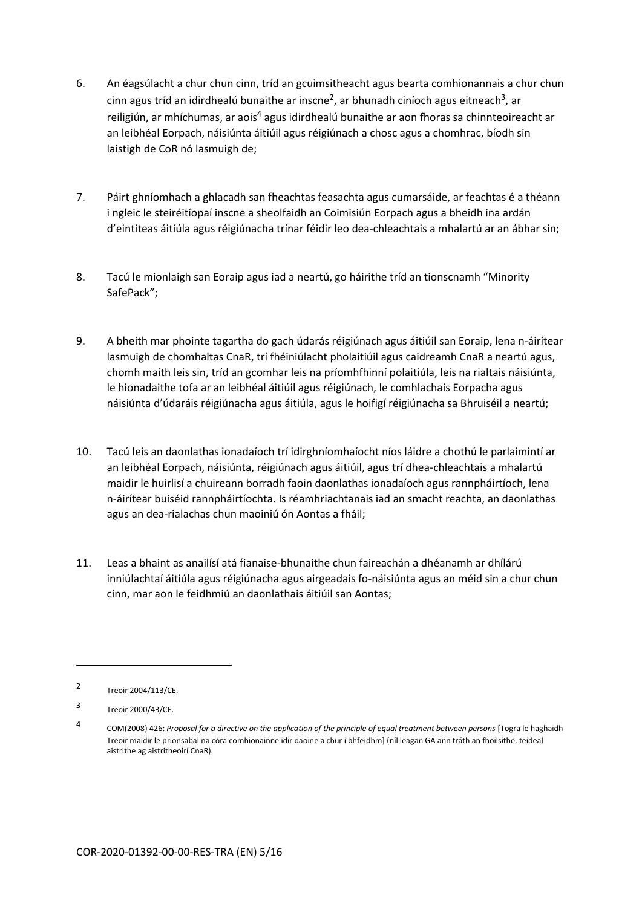- 6. An éagsúlacht a chur chun cinn, tríd an gcuimsitheacht agus bearta comhionannais a chur chun cinn agus tríd an idirdhealú bunaithe ar inscne<sup>2</sup>, ar bhunadh ciníoch agus eitneach<sup>3</sup>, ar reiligiún, ar mhíchumas, ar aois<sup>4</sup> agus idirdhealú bunaithe ar aon fhoras sa chinnteoireacht ar an leibhéal Eorpach, náisiúnta áitiúil agus réigiúnach a chosc agus a chomhrac, bíodh sin laistigh de CoR nó lasmuigh de;
- 7. Páirt ghníomhach a ghlacadh san fheachtas feasachta agus cumarsáide, ar feachtas é a théann i ngleic le steiréitíopaí inscne a sheolfaidh an Coimisiún Eorpach agus a bheidh ina ardán d'eintiteas áitiúla agus réigiúnacha trínar féidir leo dea-chleachtais a mhalartú ar an ábhar sin;
- 8. Tacú le mionlaigh san Eoraip agus iad a neartú, go háirithe tríd an tionscnamh "Minority SafePack";
- 9. A bheith mar phointe tagartha do gach údarás réigiúnach agus áitiúil san Eoraip, lena n-áirítear lasmuigh de chomhaltas CnaR, trí fhéiniúlacht pholaitiúil agus caidreamh CnaR a neartú agus, chomh maith leis sin, tríd an gcomhar leis na príomhfhinní polaitiúla, leis na rialtais náisiúnta, le hionadaithe tofa ar an leibhéal áitiúil agus réigiúnach, le comhlachais Eorpacha agus náisiúnta d'údaráis réigiúnacha agus áitiúla, agus le hoifigí réigiúnacha sa Bhruiséil a neartú;
- 10. Tacú leis an daonlathas ionadaíoch trí idirghníomhaíocht níos láidre a chothú le parlaimintí ar an leibhéal Eorpach, náisiúnta, réigiúnach agus áitiúil, agus trí dhea-chleachtais a mhalartú maidir le huirlisí a chuireann borradh faoin daonlathas ionadaíoch agus rannpháirtíoch, lena n-áirítear buiséid rannpháirtíochta. Is réamhriachtanais iad an smacht reachta, an daonlathas agus an dea-rialachas chun maoiniú ón Aontas a fháil;
- 11. Leas a bhaint as anailísí atá fianaise-bhunaithe chun faireachán a dhéanamh ar dhílárú inniúlachtaí áitiúla agus réigiúnacha agus airgeadais fo-náisiúnta agus an méid sin a chur chun cinn, mar aon le feidhmiú an daonlathais áitiúil san Aontas;

**.** 

 $\mathfrak{p}$ Treoir 2004/113/CE.

<sup>3</sup> Treoir 2000/43/CE.

<sup>4</sup> COM(2008) 426: *Proposal for a directive on the application of the principle of equal treatment between persons* [Togra le haghaidh Treoir maidir le prionsabal na córa comhionainne idir daoine a chur i bhfeidhm] (níl leagan GA ann tráth an fhoilsithe, teideal aistrithe ag aistritheoirí CnaR).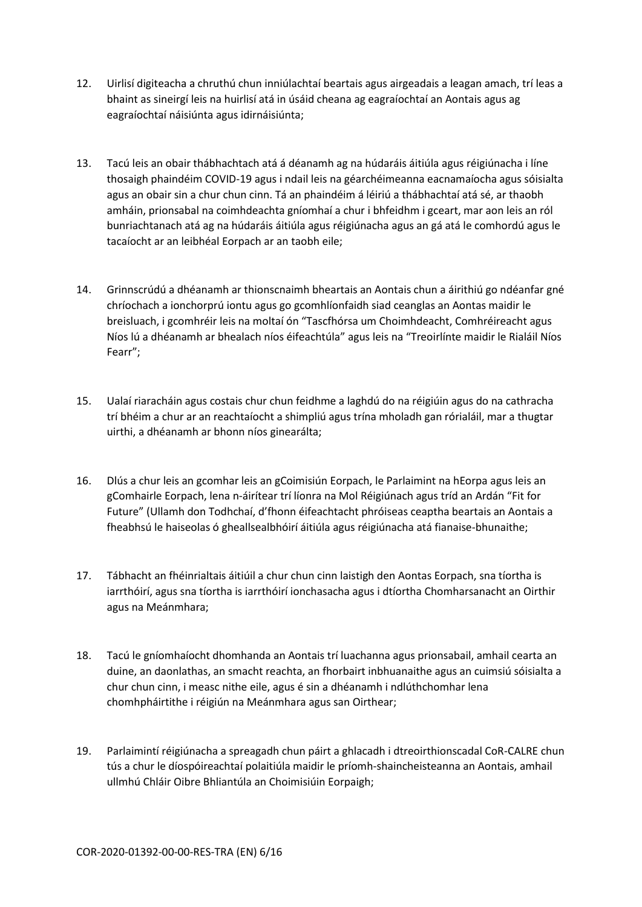- 12. Uirlisí digiteacha a chruthú chun inniúlachtaí beartais agus airgeadais a leagan amach, trí leas a bhaint as sineirgí leis na huirlisí atá in úsáid cheana ag eagraíochtaí an Aontais agus ag eagraíochtaí náisiúnta agus idirnáisiúnta;
- 13. Tacú leis an obair thábhachtach atá á déanamh ag na húdaráis áitiúla agus réigiúnacha i líne thosaigh phaindéim COVID-19 agus i ndail leis na géarchéimeanna eacnamaíocha agus sóisialta agus an obair sin a chur chun cinn. Tá an phaindéim á léiriú a thábhachtaí atá sé, ar thaobh amháin, prionsabal na coimhdeachta gníomhaí a chur i bhfeidhm i gceart, mar aon leis an ról bunriachtanach atá ag na húdaráis áitiúla agus réigiúnacha agus an gá atá le comhordú agus le tacaíocht ar an leibhéal Eorpach ar an taobh eile;
- 14. Grinnscrúdú a dhéanamh ar thionscnaimh bheartais an Aontais chun a áirithiú go ndéanfar gné chríochach a ionchorprú iontu agus go gcomhlíonfaidh siad ceanglas an Aontas maidir le breisluach, i gcomhréir leis na moltaí ón "Tascfhórsa um Choimhdeacht, Comhréireacht agus Níos lú a dhéanamh ar bhealach níos éifeachtúla" agus leis na "Treoirlínte maidir le Rialáil Níos Fearr";
- 15. Ualaí riaracháin agus costais chur chun feidhme a laghdú do na réigiúin agus do na cathracha trí bhéim a chur ar an reachtaíocht a shimpliú agus trína mholadh gan rórialáil, mar a thugtar uirthi, a dhéanamh ar bhonn níos ginearálta;
- 16. Dlús a chur leis an gcomhar leis an gCoimisiún Eorpach, le Parlaimint na hEorpa agus leis an gComhairle Eorpach, lena n-áirítear trí líonra na Mol Réigiúnach agus tríd an Ardán "Fit for Future" (Ullamh don Todhchaí, d'fhonn éifeachtacht phróiseas ceaptha beartais an Aontais a fheabhsú le haiseolas ó gheallsealbhóirí áitiúla agus réigiúnacha atá fianaise-bhunaithe;
- 17. Tábhacht an fhéinrialtais áitiúil a chur chun cinn laistigh den Aontas Eorpach, sna tíortha is iarrthóirí, agus sna tíortha is iarrthóirí ionchasacha agus i dtíortha Chomharsanacht an Oirthir agus na Meánmhara;
- 18. Tacú le gníomhaíocht dhomhanda an Aontais trí luachanna agus prionsabail, amhail cearta an duine, an daonlathas, an smacht reachta, an fhorbairt inbhuanaithe agus an cuimsiú sóisialta a chur chun cinn, i measc nithe eile, agus é sin a dhéanamh i ndlúthchomhar lena chomhpháirtithe i réigiún na Meánmhara agus san Oirthear;
- 19. Parlaimintí réigiúnacha a spreagadh chun páirt a ghlacadh i dtreoirthionscadal CoR-CALRE chun tús a chur le díospóireachtaí polaitiúla maidir le príomh-shaincheisteanna an Aontais, amhail ullmhú Chláir Oibre Bhliantúla an Choimisiúin Eorpaigh;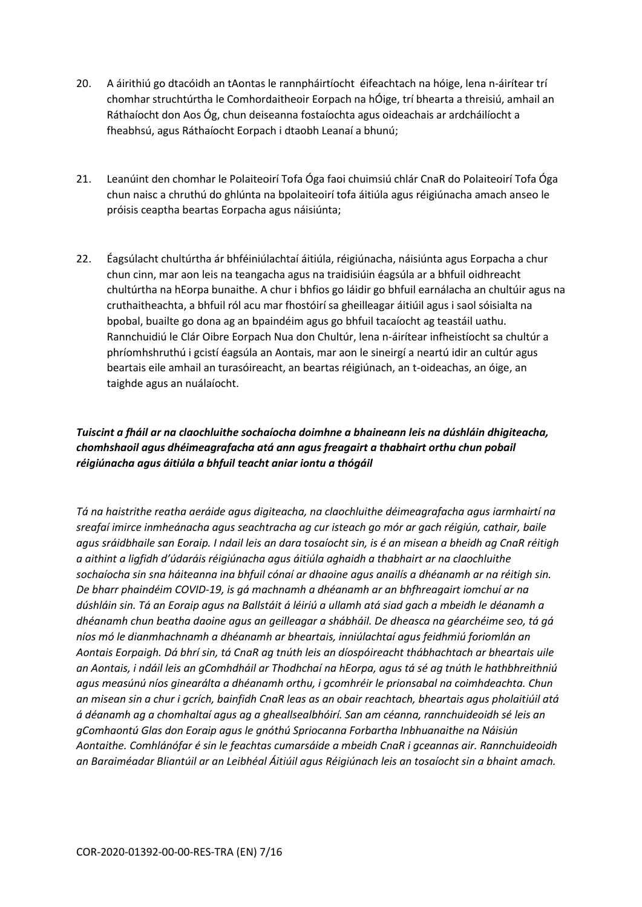- 20. A áirithiú go dtacóidh an tAontas le rannpháirtíocht éifeachtach na hóige, lena n-áirítear trí chomhar struchtúrtha le Comhordaitheoir Eorpach na hÓige, trí bhearta a threisiú, amhail an Ráthaíocht don Aos Óg, chun deiseanna fostaíochta agus oideachais ar ardcháilíocht a fheabhsú, agus Ráthaíocht Eorpach i dtaobh Leanaí a bhunú;
- 21. Leanúint den chomhar le Polaiteoirí Tofa Óga faoi chuimsiú chlár CnaR do Polaiteoirí Tofa Óga chun naisc a chruthú do ghlúnta na bpolaiteoirí tofa áitiúla agus réigiúnacha amach anseo le próisis ceaptha beartas Eorpacha agus náisiúnta;
- 22. Éagsúlacht chultúrtha ár bhféiniúlachtaí áitiúla, réigiúnacha, náisiúnta agus Eorpacha a chur chun cinn, mar aon leis na teangacha agus na traidisiúin éagsúla ar a bhfuil oidhreacht chultúrtha na hEorpa bunaithe. A chur i bhfios go láidir go bhfuil earnálacha an chultúir agus na cruthaitheachta, a bhfuil ról acu mar fhostóirí sa gheilleagar áitiúil agus i saol sóisialta na bpobal, buailte go dona ag an bpaindéim agus go bhfuil tacaíocht ag teastáil uathu. Rannchuidiú le Clár Oibre Eorpach Nua don Chultúr, lena n-áirítear infheistíocht sa chultúr a phríomhshruthú i gcistí éagsúla an Aontais, mar aon le sineirgí a neartú idir an cultúr agus beartais eile amhail an turasóireacht, an beartas réigiúnach, an t-oideachas, an óige, an taighde agus an nuálaíocht.

### *Tuiscint a fháil ar na claochluithe sochaíocha doimhne a bhaineann leis na dúshláin dhigiteacha, chomhshaoil agus dhéimeagrafacha atá ann agus freagairt a thabhairt orthu chun pobail réigiúnacha agus áitiúla a bhfuil teacht aniar iontu a thógáil*

*Tá na haistrithe reatha aeráide agus digiteacha, na claochluithe déimeagrafacha agus iarmhairtí na sreafaí imirce inmheánacha agus seachtracha ag cur isteach go mór ar gach réigiún, cathair, baile agus sráidbhaile san Eoraip. I ndail leis an dara tosaíocht sin, is é an misean a bheidh ag CnaR réitigh a aithint a ligfidh d'údaráis réigiúnacha agus áitiúla aghaidh a thabhairt ar na claochluithe sochaíocha sin sna háiteanna ina bhfuil cónaí ar dhaoine agus anailís a dhéanamh ar na réitigh sin. De bharr phaindéim COVID-19, is gá machnamh a dhéanamh ar an bhfhreagairt iomchuí ar na dúshláin sin. Tá an Eoraip agus na Ballstáit á léiriú a ullamh atá siad gach a mbeidh le déanamh a dhéanamh chun beatha daoine agus an geilleagar a shábháil. De dheasca na géarchéime seo, tá gá níos mó le dianmhachnamh a dhéanamh ar bheartais, inniúlachtaí agus feidhmiú foriomlán an Aontais Eorpaigh. Dá bhrí sin, tá CnaR ag tnúth leis an díospóireacht thábhachtach ar bheartais uile an Aontais, i ndáil leis an gComhdháil ar Thodhchaí na hEorpa, agus tá sé ag tnúth le hathbhreithniú agus measúnú níos ginearálta a dhéanamh orthu, i gcomhréir le prionsabal na coimhdeachta. Chun an misean sin a chur i gcrích, bainfidh CnaR leas as an obair reachtach, bheartais agus pholaitiúil atá á déanamh ag a chomhaltaí agus ag a gheallsealbhóirí. San am céanna, rannchuideoidh sé leis an gComhaontú Glas don Eoraip agus le gnóthú Spriocanna Forbartha Inbhuanaithe na Náisiún Aontaithe. Comhlánófar é sin le feachtas cumarsáide a mbeidh CnaR i gceannas air. Rannchuideoidh an Baraiméadar Bliantúil ar an Leibhéal Áitiúil agus Réigiúnach leis an tosaíocht sin a bhaint amach.*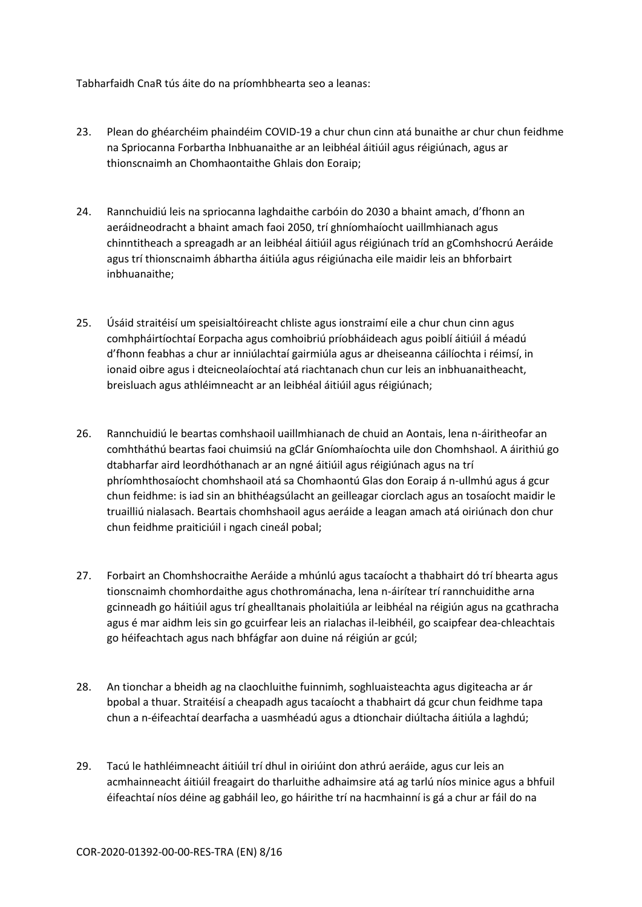Tabharfaidh CnaR tús áite do na príomhbhearta seo a leanas:

- 23. Plean do ghéarchéim phaindéim COVID-19 a chur chun cinn atá bunaithe ar chur chun feidhme na Spriocanna Forbartha Inbhuanaithe ar an leibhéal áitiúil agus réigiúnach, agus ar thionscnaimh an Chomhaontaithe Ghlais don Eoraip;
- 24. Rannchuidiú leis na spriocanna laghdaithe carbóin do 2030 a bhaint amach, d'fhonn an aeráidneodracht a bhaint amach faoi 2050, trí ghníomhaíocht uaillmhianach agus chinntitheach a spreagadh ar an leibhéal áitiúil agus réigiúnach tríd an gComhshocrú Aeráide agus trí thionscnaimh ábhartha áitiúla agus réigiúnacha eile maidir leis an bhforbairt inbhuanaithe;
- 25. Úsáid straitéisí um speisialtóireacht chliste agus ionstraimí eile a chur chun cinn agus comhpháirtíochtaí Eorpacha agus comhoibriú príobháideach agus poiblí áitiúil á méadú d'fhonn feabhas a chur ar inniúlachtaí gairmiúla agus ar dheiseanna cáilíochta i réimsí, in ionaid oibre agus i dteicneolaíochtaí atá riachtanach chun cur leis an inbhuanaitheacht, breisluach agus athléimneacht ar an leibhéal áitiúil agus réigiúnach;
- 26. Rannchuidiú le beartas comhshaoil uaillmhianach de chuid an Aontais, lena n-áiritheofar an comhtháthú beartas faoi chuimsiú na gClár Gníomhaíochta uile don Chomhshaol. A áirithiú go dtabharfar aird leordhóthanach ar an ngné áitiúil agus réigiúnach agus na trí phríomhthosaíocht chomhshaoil atá sa Chomhaontú Glas don Eoraip á n-ullmhú agus á gcur chun feidhme: is iad sin an bhithéagsúlacht an geilleagar ciorclach agus an tosaíocht maidir le truailliú nialasach. Beartais chomhshaoil agus aeráide a leagan amach atá oiriúnach don chur chun feidhme praiticiúil i ngach cineál pobal;
- 27. Forbairt an Chomhshocraithe Aeráide a mhúnlú agus tacaíocht a thabhairt dó trí bhearta agus tionscnaimh chomhordaithe agus chothrománacha, lena n-áirítear trí rannchuidithe arna gcinneadh go háitiúil agus trí ghealltanais pholaitiúla ar leibhéal na réigiún agus na gcathracha agus é mar aidhm leis sin go gcuirfear leis an rialachas il-leibhéil, go scaipfear dea-chleachtais go héifeachtach agus nach bhfágfar aon duine ná réigiún ar gcúl;
- 28. An tionchar a bheidh ag na claochluithe fuinnimh, soghluaisteachta agus digiteacha ar ár bpobal a thuar. Straitéisí a cheapadh agus tacaíocht a thabhairt dá gcur chun feidhme tapa chun a n-éifeachtaí dearfacha a uasmhéadú agus a dtionchair diúltacha áitiúla a laghdú;
- 29. Tacú le hathléimneacht áitiúil trí dhul in oiriúint don athrú aeráide, agus cur leis an acmhainneacht áitiúil freagairt do tharluithe adhaimsire atá ag tarlú níos minice agus a bhfuil éifeachtaí níos déine ag gabháil leo, go háirithe trí na hacmhainní is gá a chur ar fáil do na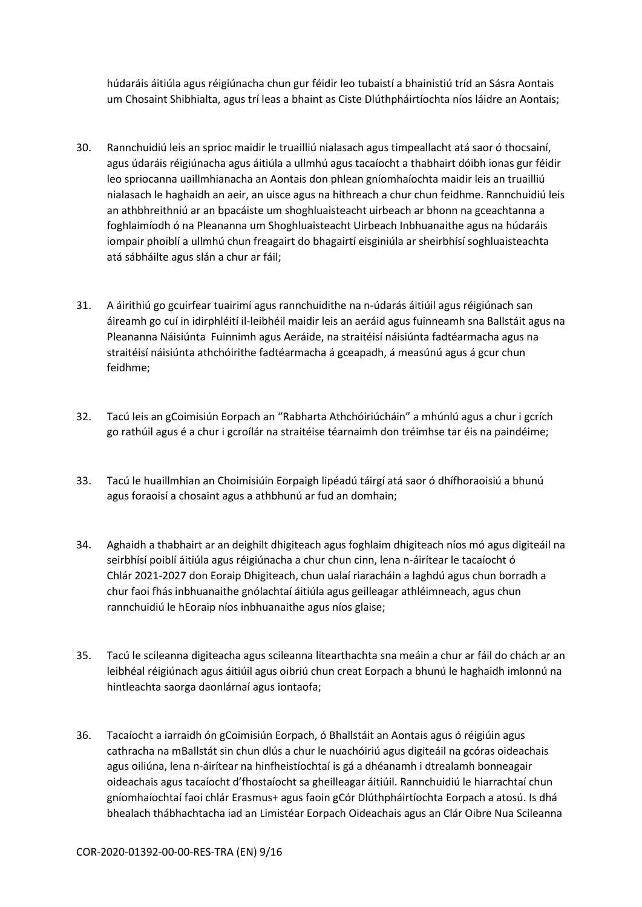húdaráis áitiúla agus réigiúnacha chun gur féidir leo tubaistí a bhainistiú tríd an Sásra Aontais um Chosaint Shibhialta, agus trí leas a bhaint as Ciste Dlúthpháirtíochta níos láidre an Aontais;

- 30. Rannchuidiú leis an sprioc maidir le truailliú nialasach agus timpeallacht atá saor ó thocsainí, agus údaráis réigiúnacha agus áitiúla a ullmhú agus tacaíocht a thabhairt dóibh ionas gur féidir leo spriocanna uaillmhianacha an Aontais don phlean gníomhaíochta maidir leis an truailliú nialasach le haghaidh an aeir, an uisce agus na hithreach a chur chun feidhme. Rannchuidiú leis an athbhreithniú ar an bpacáiste um shoghluaisteacht uirbeach ar bhonn na gceachtanna a foghlaimíodh ó na Pleananna um Shoghluaisteacht Uirbeach Inbhuanaithe agus na húdaráis iompair phoiblí a ullmhú chun freagairt do bhagairtí eisginiúla ar sheirbhísí soghluaisteachta atá sábháilte agus slán a chur ar fáil;
- 31. A áirithiú go gcuirfear tuairimí agus rannchuidithe na n-údarás áitiúil agus réigiúnach san áireamh go cuí in idirphléití il-leibhéil maidir leis an aeráid agus fuinneamh sna Ballstáit agus na Pleananna Náisiúnta Fuinnimh agus Aeráide, na straitéisí náisiúnta fadtéarmacha agus na straitéisí náisiúnta athchóirithe fadtéarmacha á gceapadh, á measúnú agus á gcur chun feidhme;
- 32. Tacú leis an gCoimisiún Eorpach an "Rabharta Athchóiriúcháin" a mhúnlú agus a chur i gcrích go rathúil agus é a chur i gcroílár na straitéise téarnaimh don tréimhse tar éis na paindéime;
- 33. Tacú le huaillmhian an Choimisiúin Eorpaigh lipéadú táirgí atá saor ó dhífhoraoisiú a bhunú agus foraoisí a chosaint agus a athbhunú ar fud an domhain;
- 34. Aghaidh a thabhairt ar an deighilt dhigiteach agus foghlaim dhigiteach níos mó agus digiteáil na seirbhísí poiblí áitiúla agus réigiúnacha a chur chun cinn, lena n-áirítear le tacaíocht ó Chlár 2021-2027 don Eoraip Dhigiteach, chun ualaí riaracháin a laghdú agus chun borradh a chur faoi fhás inbhuanaithe gnólachtaí áitiúla agus geilleagar athléimneach, agus chun rannchuidiú le hEoraip níos inbhuanaithe agus níos glaise;
- 35. Tacú le scileanna digiteacha agus scileanna litearthachta sna meáin a chur ar fáil do chách ar an leibhéal réigiúnach agus áitiúil agus oibriú chun creat Eorpach a bhunú le haghaidh imlonnú na hintleachta saorga daonlárnaí agus iontaofa;
- 36. Tacaíocht a iarraidh ón gCoimisiún Eorpach, ó Bhallstáit an Aontais agus ó réigiúin agus cathracha na mBallstát sin chun dlús a chur le nuachóiriú agus digiteáil na gcóras oideachais agus oiliúna, lena n-áirítear na hinfheistíochtaí is gá a dhéanamh i dtrealamh bonneagair oideachais agus tacaíocht d'fhostaíocht sa gheilleagar áitiúil. Rannchuidiú le hiarrachtaí chun gníomhaíochtaí faoi chlár Erasmus+ agus faoin gCór Dlúthpháirtíochta Eorpach a atosú. Is dhá bhealach thábhachtacha iad an Limistéar Eorpach Oideachais agus an Clár Oibre Nua Scileanna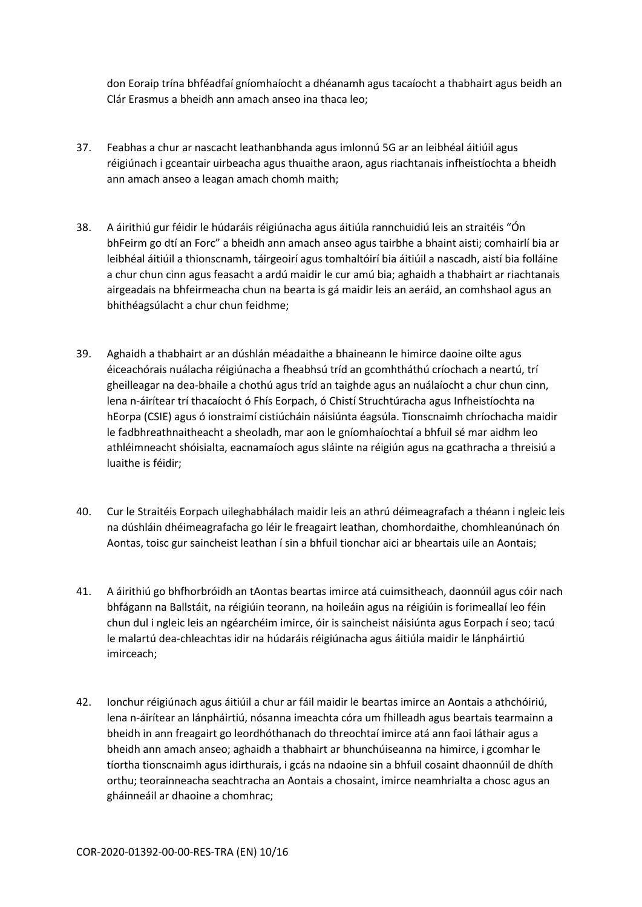don Eoraip trína bhféadfaí gníomhaíocht a dhéanamh agus tacaíocht a thabhairt agus beidh an Clár Erasmus a bheidh ann amach anseo ina thaca leo;

- 37. Feabhas a chur ar nascacht leathanbhanda agus imlonnú 5G ar an leibhéal áitiúil agus réigiúnach i gceantair uirbeacha agus thuaithe araon, agus riachtanais infheistíochta a bheidh ann amach anseo a leagan amach chomh maith;
- 38. A áirithiú gur féidir le húdaráis réigiúnacha agus áitiúla rannchuidiú leis an straitéis "Ón bhFeirm go dtí an Forc" a bheidh ann amach anseo agus tairbhe a bhaint aisti; comhairlí bia ar leibhéal áitiúil a thionscnamh, táirgeoirí agus tomhaltóirí bia áitiúil a nascadh, aistí bia folláine a chur chun cinn agus feasacht a ardú maidir le cur amú bia; aghaidh a thabhairt ar riachtanais airgeadais na bhfeirmeacha chun na bearta is gá maidir leis an aeráid, an comhshaol agus an bhithéagsúlacht a chur chun feidhme;
- 39. Aghaidh a thabhairt ar an dúshlán méadaithe a bhaineann le himirce daoine oilte agus éiceachórais nuálacha réigiúnacha a fheabhsú tríd an gcomhtháthú críochach a neartú, trí gheilleagar na dea-bhaile a chothú agus tríd an taighde agus an nuálaíocht a chur chun cinn, lena n-áirítear trí thacaíocht ó Fhís Eorpach, ó Chistí Struchtúracha agus Infheistíochta na hEorpa (CSIE) agus ó ionstraimí cistiúcháin náisiúnta éagsúla. Tionscnaimh chríochacha maidir le fadbhreathnaitheacht a sheoladh, mar aon le gníomhaíochtaí a bhfuil sé mar aidhm leo athléimneacht shóisialta, eacnamaíoch agus sláinte na réigiún agus na gcathracha a threisiú a luaithe is féidir;
- 40. Cur le Straitéis Eorpach uileghabhálach maidir leis an athrú déimeagrafach a théann i ngleic leis na dúshláin dhéimeagrafacha go léir le freagairt leathan, chomhordaithe, chomhleanúnach ón Aontas, toisc gur saincheist leathan í sin a bhfuil tionchar aici ar bheartais uile an Aontais;
- 41. A áirithiú go bhfhorbróidh an tAontas beartas imirce atá cuimsitheach, daonnúil agus cóir nach bhfágann na Ballstáit, na réigiúin teorann, na hoileáin agus na réigiúin is forimeallaí leo féin chun dul i ngleic leis an ngéarchéim imirce, óir is saincheist náisiúnta agus Eorpach í seo; tacú le malartú dea-chleachtas idir na húdaráis réigiúnacha agus áitiúla maidir le lánpháirtiú imirceach;
- 42. Ionchur réigiúnach agus áitiúil a chur ar fáil maidir le beartas imirce an Aontais a athchóiriú, lena n-áirítear an lánpháirtiú, nósanna imeachta córa um fhilleadh agus beartais tearmainn a bheidh in ann freagairt go leordhóthanach do threochtaí imirce atá ann faoi láthair agus a bheidh ann amach anseo; aghaidh a thabhairt ar bhunchúiseanna na himirce, i gcomhar le tíortha tionscnaimh agus idirthurais, i gcás na ndaoine sin a bhfuil cosaint dhaonnúil de dhíth orthu; teorainneacha seachtracha an Aontais a chosaint, imirce neamhrialta a chosc agus an gháinneáil ar dhaoine a chomhrac;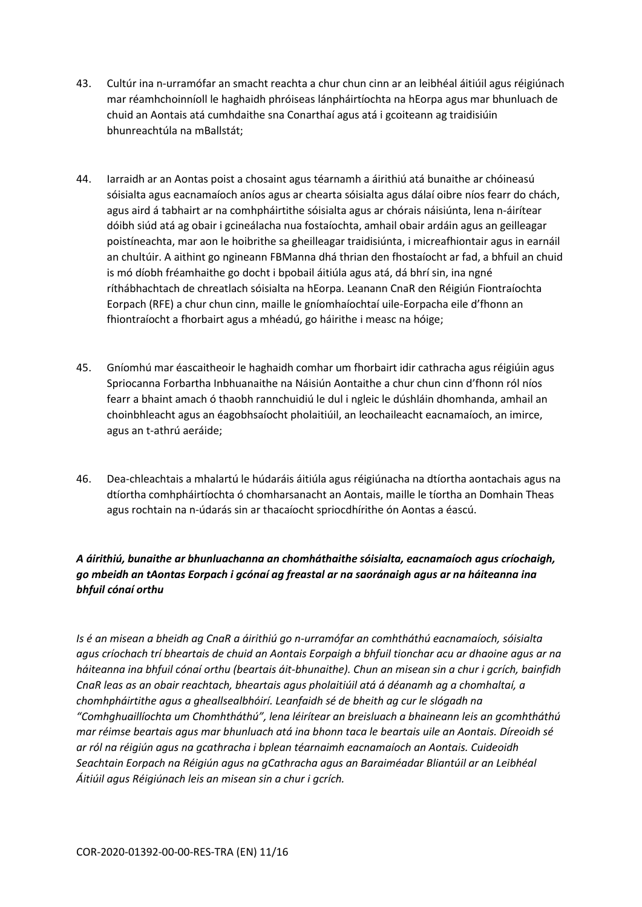- 43. Cultúr ina n-urramófar an smacht reachta a chur chun cinn ar an leibhéal áitiúil agus réigiúnach mar réamhchoinníoll le haghaidh phróiseas lánpháirtíochta na hEorpa agus mar bhunluach de chuid an Aontais atá cumhdaithe sna Conarthaí agus atá i gcoiteann ag traidisiúin bhunreachtúla na mBallstát;
- 44. Iarraidh ar an Aontas poist a chosaint agus téarnamh a áirithiú atá bunaithe ar chóineasú sóisialta agus eacnamaíoch aníos agus ar chearta sóisialta agus dálaí oibre níos fearr do chách, agus aird á tabhairt ar na comhpháirtithe sóisialta agus ar chórais náisiúnta, lena n-áirítear dóibh siúd atá ag obair i gcineálacha nua fostaíochta, amhail obair ardáin agus an geilleagar poistíneachta, mar aon le hoibrithe sa gheilleagar traidisiúnta, i micreafhiontair agus in earnáil an chultúir. A aithint go ngineann FBManna dhá thrian den fhostaíocht ar fad, a bhfuil an chuid is mó díobh fréamhaithe go docht i bpobail áitiúla agus atá, dá bhrí sin, ina ngné ríthábhachtach de chreatlach sóisialta na hEorpa. Leanann CnaR den Réigiún Fiontraíochta Eorpach (RFE) a chur chun cinn, maille le gníomhaíochtaí uile-Eorpacha eile d'fhonn an fhiontraíocht a fhorbairt agus a mhéadú, go háirithe i measc na hóige;
- 45. Gníomhú mar éascaitheoir le haghaidh comhar um fhorbairt idir cathracha agus réigiúin agus Spriocanna Forbartha Inbhuanaithe na Náisiún Aontaithe a chur chun cinn d'fhonn ról níos fearr a bhaint amach ó thaobh rannchuidiú le dul i ngleic le dúshláin dhomhanda, amhail an choinbhleacht agus an éagobhsaíocht pholaitiúil, an leochaileacht eacnamaíoch, an imirce, agus an t-athrú aeráide;
- 46. Dea-chleachtais a mhalartú le húdaráis áitiúla agus réigiúnacha na dtíortha aontachais agus na dtíortha comhpháirtíochta ó chomharsanacht an Aontais, maille le tíortha an Domhain Theas agus rochtain na n-údarás sin ar thacaíocht spriocdhírithe ón Aontas a éascú.

# *A áirithiú, bunaithe ar bhunluachanna an chomháthaithe sóisialta, eacnamaíoch agus críochaigh, go mbeidh an tAontas Eorpach i gcónaí ag freastal ar na saoránaigh agus ar na háiteanna ina bhfuil cónaí orthu*

*Is é an misean a bheidh ag CnaR a áirithiú go n-urramófar an comhtháthú eacnamaíoch, sóisialta agus críochach trí bheartais de chuid an Aontais Eorpaigh a bhfuil tionchar acu ar dhaoine agus ar na háiteanna ina bhfuil cónaí orthu (beartais áit-bhunaithe). Chun an misean sin a chur i gcrích, bainfidh CnaR leas as an obair reachtach, bheartais agus pholaitiúil atá á déanamh ag a chomhaltaí, a chomhpháirtithe agus a gheallsealbhóirí. Leanfaidh sé de bheith ag cur le slógadh na "Comhghuaillíochta um Chomhtháthú", lena léirítear an breisluach a bhaineann leis an gcomhtháthú mar réimse beartais agus mar bhunluach atá ina bhonn taca le beartais uile an Aontais. Díreoidh sé ar ról na réigiún agus na gcathracha i bplean téarnaimh eacnamaíoch an Aontais. Cuideoidh Seachtain Eorpach na Réigiún agus na gCathracha agus an Baraiméadar Bliantúil ar an Leibhéal Áitiúil agus Réigiúnach leis an misean sin a chur i gcrích.*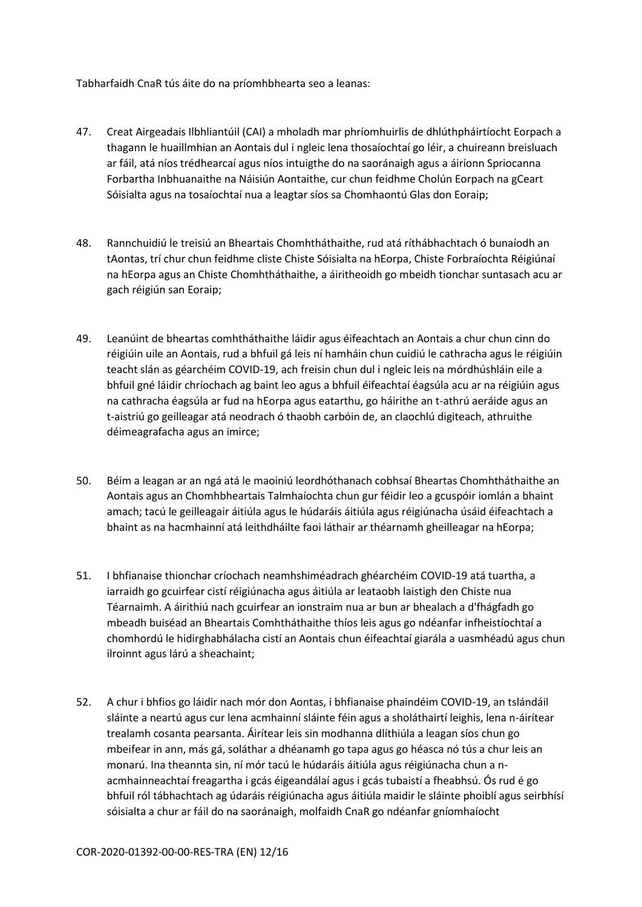Tabharfaidh CnaR tús áite do na príomhbhearta seo a leanas:

- 47. Creat Airgeadais Ilbhliantúil (CAI) a mholadh mar phríomhuirlis de dhlúthpháirtíocht Eorpach a thagann le huaillmhian an Aontais dul i ngleic lena thosaíochtaí go léir, a chuireann breisluach ar fáil, atá níos trédhearcaí agus níos intuigthe do na saoránaigh agus a áiríonn Spriocanna Forbartha Inbhuanaithe na Náisiún Aontaithe, cur chun feidhme Cholún Eorpach na gCeart Sóisialta agus na tosaíochtaí nua a leagtar síos sa Chomhaontú Glas don Eoraip;
- 48. Rannchuidiú le treisiú an Bheartais Chomhtháthaithe, rud atá ríthábhachtach ó bunaíodh an tAontas, trí chur chun feidhme cliste Chiste Sóisialta na hEorpa, Chiste Forbraíochta Réigiúnaí na hEorpa agus an Chiste Chomhtháthaithe, a áiritheoidh go mbeidh tionchar suntasach acu ar gach réigiún san Eoraip;
- 49. Leanúint de bheartas comhtháthaithe láidir agus éifeachtach an Aontais a chur chun cinn do réigiúin uile an Aontais, rud a bhfuil gá leis ní hamháin chun cuidiú le cathracha agus le réigiúin teacht slán as géarchéim COVID-19, ach freisin chun dul i ngleic leis na mórdhúshláin eile a bhfuil gné láidir chríochach ag baint leo agus a bhfuil éifeachtaí éagsúla acu ar na réigiúin agus na cathracha éagsúla ar fud na hEorpa agus eatarthu, go háirithe an t-athrú aeráide agus an t-aistriú go geilleagar atá neodrach ó thaobh carbóin de, an claochlú digiteach, athruithe déimeagrafacha agus an imirce;
- 50. Béim a leagan ar an ngá atá le maoiniú leordhóthanach cobhsaí Bheartas Chomhtháthaithe an Aontais agus an Chomhbheartais Talmhaíochta chun gur féidir leo a gcuspóir iomlán a bhaint amach; tacú le geilleagair áitiúla agus le húdaráis áitiúla agus réigiúnacha úsáid éifeachtach a bhaint as na hacmhainní atá leithdháilte faoi láthair ar théarnamh gheilleagar na hEorpa;
- 51. I bhfianaise thionchar críochach neamhshiméadrach ghéarchéim COVID-19 atá tuartha, a iarraidh go gcuirfear cistí réigiúnacha agus áitiúla ar leataobh laistigh den Chiste nua Téarnaimh. A áirithiú nach gcuirfear an ionstraim nua ar bun ar bhealach a d'fhágfadh go mbeadh buiséad an Bheartais Comhtháthaithe thíos leis agus go ndéanfar infheistíochtaí a chomhordú le hidirghabhálacha cistí an Aontais chun éifeachtaí giarála a uasmhéadú agus chun ilroinnt agus lárú a sheachaint;
- 52. A chur i bhfios go láidir nach mór don Aontas, i bhfianaise phaindéim COVID-19, an tslándáil sláinte a neartú agus cur lena acmhainní sláinte féin agus a sholáthairtí leighis, lena n-áirítear trealamh cosanta pearsanta. Áirítear leis sin modhanna dlíthiúla a leagan síos chun go mbeifear in ann, más gá, soláthar a dhéanamh go tapa agus go héasca nó tús a chur leis an monarú. Ina theannta sin, ní mór tacú le húdaráis áitiúla agus réigiúnacha chun a nacmhainneachtaí freagartha i gcás éigeandálaí agus i gcás tubaistí a fheabhsú. Ós rud é go bhfuil ról tábhachtach ag údaráis réigiúnacha agus áitiúla maidir le sláinte phoiblí agus seirbhísí sóisialta a chur ar fáil do na saoránaigh, molfaidh CnaR go ndéanfar gníomhaíocht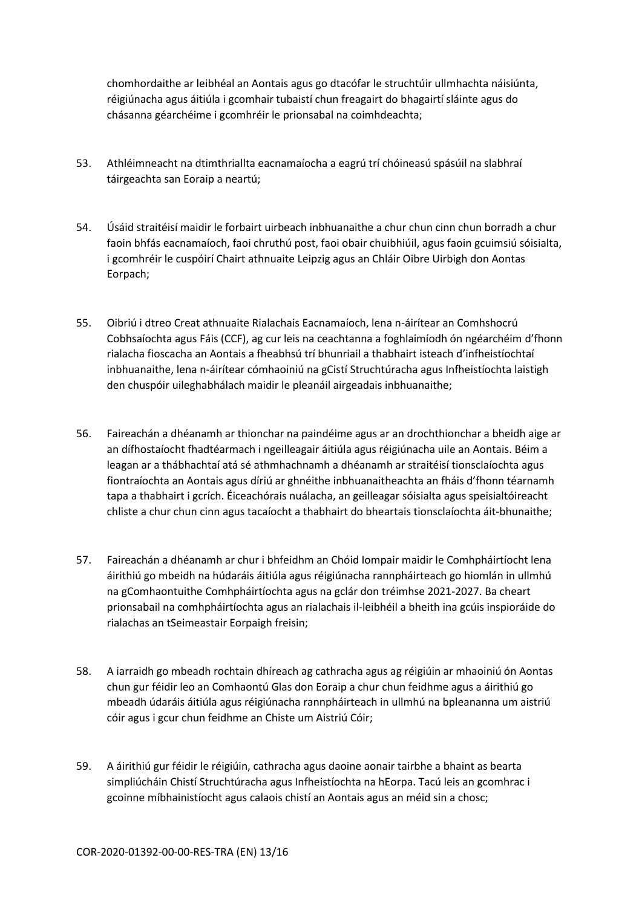chomhordaithe ar leibhéal an Aontais agus go dtacófar le struchtúir ullmhachta náisiúnta, réigiúnacha agus áitiúla i gcomhair tubaistí chun freagairt do bhagairtí sláinte agus do chásanna géarchéime i gcomhréir le prionsabal na coimhdeachta;

- 53. Athléimneacht na dtimthriallta eacnamaíocha a eagrú trí chóineasú spásúil na slabhraí táirgeachta san Eoraip a neartú;
- 54. Úsáid straitéisí maidir le forbairt uirbeach inbhuanaithe a chur chun cinn chun borradh a chur faoin bhfás eacnamaíoch, faoi chruthú post, faoi obair chuibhiúil, agus faoin gcuimsiú sóisialta, i gcomhréir le cuspóirí Chairt athnuaite Leipzig agus an Chláir Oibre Uirbigh don Aontas Eorpach;
- 55. Oibriú i dtreo Creat athnuaite Rialachais Eacnamaíoch, lena n-áirítear an Comhshocrú Cobhsaíochta agus Fáis (CCF), ag cur leis na ceachtanna a foghlaimíodh ón ngéarchéim d'fhonn rialacha fioscacha an Aontais a fheabhsú trí bhunriail a thabhairt isteach d'infheistíochtaí inbhuanaithe, lena n-áirítear cómhaoiniú na gCistí Struchtúracha agus Infheistíochta laistigh den chuspóir uileghabhálach maidir le pleanáil airgeadais inbhuanaithe;
- 56. Faireachán a dhéanamh ar thionchar na paindéime agus ar an drochthionchar a bheidh aige ar an dífhostaíocht fhadtéarmach i ngeilleagair áitiúla agus réigiúnacha uile an Aontais. Béim a leagan ar a thábhachtaí atá sé athmhachnamh a dhéanamh ar straitéisí tionsclaíochta agus fiontraíochta an Aontais agus díriú ar ghnéithe inbhuanaitheachta an fháis d'fhonn téarnamh tapa a thabhairt i gcrích. Éiceachórais nuálacha, an geilleagar sóisialta agus speisialtóireacht chliste a chur chun cinn agus tacaíocht a thabhairt do bheartais tionsclaíochta áit-bhunaithe;
- 57. Faireachán a dhéanamh ar chur i bhfeidhm an Chóid Iompair maidir le Comhpháirtíocht lena áirithiú go mbeidh na húdaráis áitiúla agus réigiúnacha rannpháirteach go hiomlán in ullmhú na gComhaontuithe Comhpháirtíochta agus na gclár don tréimhse 2021-2027. Ba cheart prionsabail na comhpháirtíochta agus an rialachais il-leibhéil a bheith ina gcúis inspioráide do rialachas an tSeimeastair Eorpaigh freisin;
- 58. A iarraidh go mbeadh rochtain dhíreach ag cathracha agus ag réigiúin ar mhaoiniú ón Aontas chun gur féidir leo an Comhaontú Glas don Eoraip a chur chun feidhme agus a áirithiú go mbeadh údaráis áitiúla agus réigiúnacha rannpháirteach in ullmhú na bpleananna um aistriú cóir agus i gcur chun feidhme an Chiste um Aistriú Cóir;
- 59. A áirithiú gur féidir le réigiúin, cathracha agus daoine aonair tairbhe a bhaint as bearta simpliúcháin Chistí Struchtúracha agus Infheistíochta na hEorpa. Tacú leis an gcomhrac i gcoinne míbhainistíocht agus calaois chistí an Aontais agus an méid sin a chosc;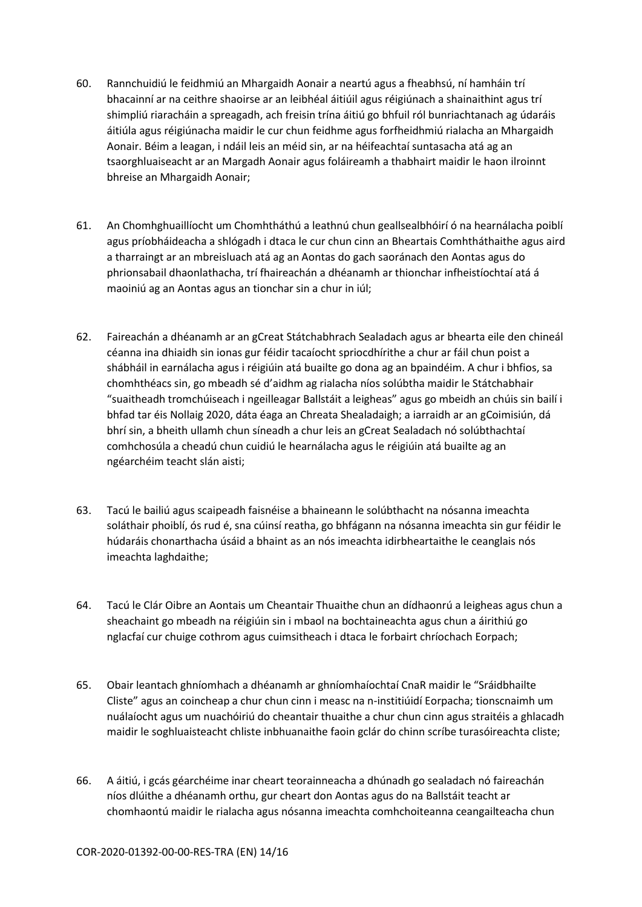- 60. Rannchuidiú le feidhmiú an Mhargaidh Aonair a neartú agus a fheabhsú, ní hamháin trí bhacainní ar na ceithre shaoirse ar an leibhéal áitiúil agus réigiúnach a shainaithint agus trí shimpliú riaracháin a spreagadh, ach freisin trína áitiú go bhfuil ról bunriachtanach ag údaráis áitiúla agus réigiúnacha maidir le cur chun feidhme agus forfheidhmiú rialacha an Mhargaidh Aonair. Béim a leagan, i ndáil leis an méid sin, ar na héifeachtaí suntasacha atá ag an tsaorghluaiseacht ar an Margadh Aonair agus foláireamh a thabhairt maidir le haon ilroinnt bhreise an Mhargaidh Aonair;
- 61. An Chomhghuaillíocht um Chomhtháthú a leathnú chun geallsealbhóirí ó na hearnálacha poiblí agus príobháideacha a shlógadh i dtaca le cur chun cinn an Bheartais Comhtháthaithe agus aird a tharraingt ar an mbreisluach atá ag an Aontas do gach saoránach den Aontas agus do phrionsabail dhaonlathacha, trí fhaireachán a dhéanamh ar thionchar infheistíochtaí atá á maoiniú ag an Aontas agus an tionchar sin a chur in iúl;
- 62. Faireachán a dhéanamh ar an gCreat Státchabhrach Sealadach agus ar bhearta eile den chineál céanna ina dhiaidh sin ionas gur féidir tacaíocht spriocdhírithe a chur ar fáil chun poist a shábháil in earnálacha agus i réigiúin atá buailte go dona ag an bpaindéim. A chur i bhfios, sa chomhthéacs sin, go mbeadh sé d'aidhm ag rialacha níos solúbtha maidir le Státchabhair "suaitheadh tromchúiseach i ngeilleagar Ballstáit a leigheas" agus go mbeidh an chúis sin bailí i bhfad tar éis Nollaig 2020, dáta éaga an Chreata Shealadaigh; a iarraidh ar an gCoimisiún, dá bhrí sin, a bheith ullamh chun síneadh a chur leis an gCreat Sealadach nó solúbthachtaí comhchosúla a cheadú chun cuidiú le hearnálacha agus le réigiúin atá buailte ag an ngéarchéim teacht slán aisti;
- 63. Tacú le bailiú agus scaipeadh faisnéise a bhaineann le solúbthacht na nósanna imeachta soláthair phoiblí, ós rud é, sna cúinsí reatha, go bhfágann na nósanna imeachta sin gur féidir le húdaráis chonarthacha úsáid a bhaint as an nós imeachta idirbheartaithe le ceanglais nós imeachta laghdaithe;
- 64. Tacú le Clár Oibre an Aontais um Cheantair Thuaithe chun an dídhaonrú a leigheas agus chun a sheachaint go mbeadh na réigiúin sin i mbaol na bochtaineachta agus chun a áirithiú go nglacfaí cur chuige cothrom agus cuimsitheach i dtaca le forbairt chríochach Eorpach;
- 65. Obair leantach ghníomhach a dhéanamh ar ghníomhaíochtaí CnaR maidir le "Sráidbhailte Cliste" agus an coincheap a chur chun cinn i measc na n-institiúidí Eorpacha; tionscnaimh um nuálaíocht agus um nuachóiriú do cheantair thuaithe a chur chun cinn agus straitéis a ghlacadh maidir le soghluaisteacht chliste inbhuanaithe faoin gclár do chinn scríbe turasóireachta cliste;
- 66. A áitiú, i gcás géarchéime inar cheart teorainneacha a dhúnadh go sealadach nó faireachán níos dlúithe a dhéanamh orthu, gur cheart don Aontas agus do na Ballstáit teacht ar chomhaontú maidir le rialacha agus nósanna imeachta comhchoiteanna ceangailteacha chun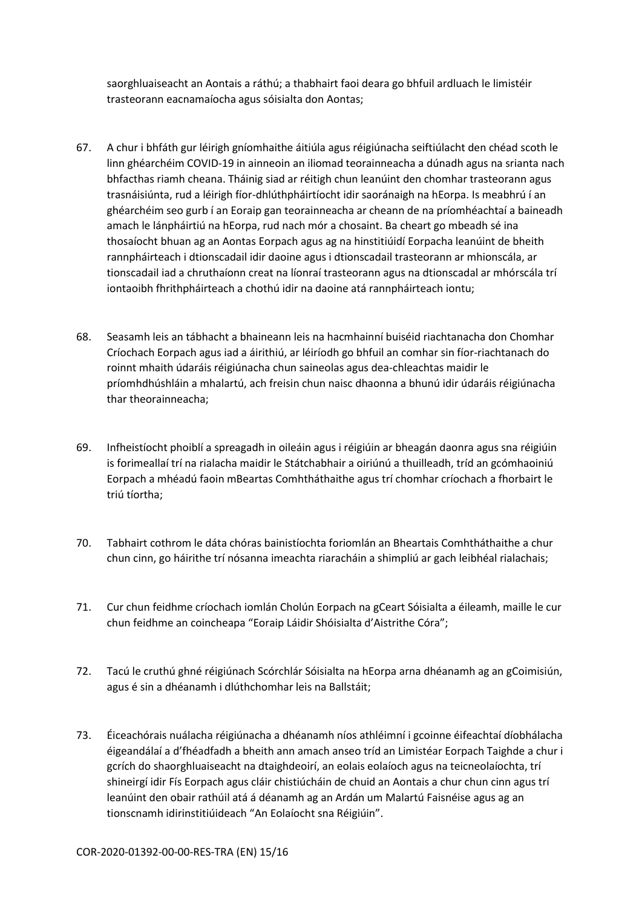saorghluaiseacht an Aontais a ráthú; a thabhairt faoi deara go bhfuil ardluach le limistéir trasteorann eacnamaíocha agus sóisialta don Aontas;

- 67. A chur i bhfáth gur léirigh gníomhaithe áitiúla agus réigiúnacha seiftiúlacht den chéad scoth le linn ghéarchéim COVID-19 in ainneoin an iliomad teorainneacha a dúnadh agus na srianta nach bhfacthas riamh cheana. Tháinig siad ar réitigh chun leanúint den chomhar trasteorann agus trasnáisiúnta, rud a léirigh fíor-dhlúthpháirtíocht idir saoránaigh na hEorpa. Is meabhrú í an ghéarchéim seo gurb í an Eoraip gan teorainneacha ar cheann de na príomhéachtaí a baineadh amach le lánpháirtiú na hEorpa, rud nach mór a chosaint. Ba cheart go mbeadh sé ina thosaíocht bhuan ag an Aontas Eorpach agus ag na hinstitiúidí Eorpacha leanúint de bheith rannpháirteach i dtionscadail idir daoine agus i dtionscadail trasteorann ar mhionscála, ar tionscadail iad a chruthaíonn creat na líonraí trasteorann agus na dtionscadal ar mhórscála trí iontaoibh fhrithpháirteach a chothú idir na daoine atá rannpháirteach iontu;
- 68. Seasamh leis an tábhacht a bhaineann leis na hacmhainní buiséid riachtanacha don Chomhar Críochach Eorpach agus iad a áirithiú, ar léiríodh go bhfuil an comhar sin fíor-riachtanach do roinnt mhaith údaráis réigiúnacha chun saineolas agus dea-chleachtas maidir le príomhdhúshláin a mhalartú, ach freisin chun naisc dhaonna a bhunú idir údaráis réigiúnacha thar theorainneacha;
- 69. Infheistíocht phoiblí a spreagadh in oileáin agus i réigiúin ar bheagán daonra agus sna réigiúin is forimeallaí trí na rialacha maidir le Státchabhair a oiriúnú a thuilleadh, tríd an gcómhaoiniú Eorpach a mhéadú faoin mBeartas Comhtháthaithe agus trí chomhar críochach a fhorbairt le triú tíortha;
- 70. Tabhairt cothrom le dáta chóras bainistíochta foriomlán an Bheartais Comhtháthaithe a chur chun cinn, go háirithe trí nósanna imeachta riaracháin a shimpliú ar gach leibhéal rialachais;
- 71. Cur chun feidhme críochach iomlán Cholún Eorpach na gCeart Sóisialta a éileamh, maille le cur chun feidhme an coincheapa "Eoraip Láidir Shóisialta d'Aistrithe Córa";
- 72. Tacú le cruthú ghné réigiúnach Scórchlár Sóisialta na hEorpa arna dhéanamh ag an gCoimisiún, agus é sin a dhéanamh i dlúthchomhar leis na Ballstáit;
- 73. Éiceachórais nuálacha réigiúnacha a dhéanamh níos athléimní i gcoinne éifeachtaí díobhálacha éigeandálaí a d'fhéadfadh a bheith ann amach anseo tríd an Limistéar Eorpach Taighde a chur i gcrích do shaorghluaiseacht na dtaighdeoirí, an eolais eolaíoch agus na teicneolaíochta, trí shineirgí idir Fís Eorpach agus cláir chistiúcháin de chuid an Aontais a chur chun cinn agus trí leanúint den obair rathúil atá á déanamh ag an Ardán um Malartú Faisnéise agus ag an tionscnamh idirinstitiúideach "An Eolaíocht sna Réigiúin".